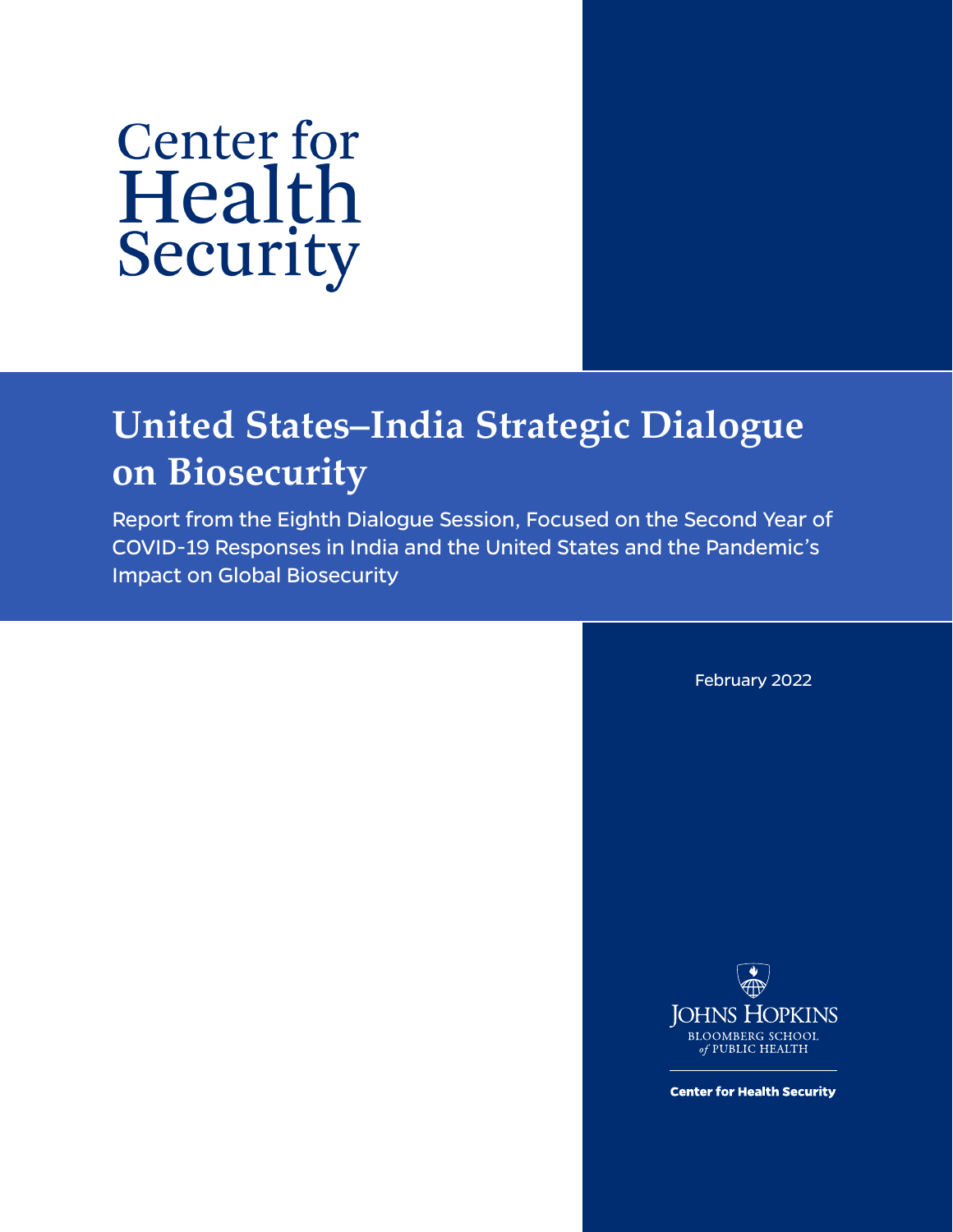# **Center for** Health Security

# **United States–India Strategic Dialogue on Biosecurity**

Report from the Eighth Dialogue Session, Focused on the Second Year of COVID-19 Responses in India and the United States and the Pandemic's Impact on Global Biosecurity

February 2022



**Center for Health Security**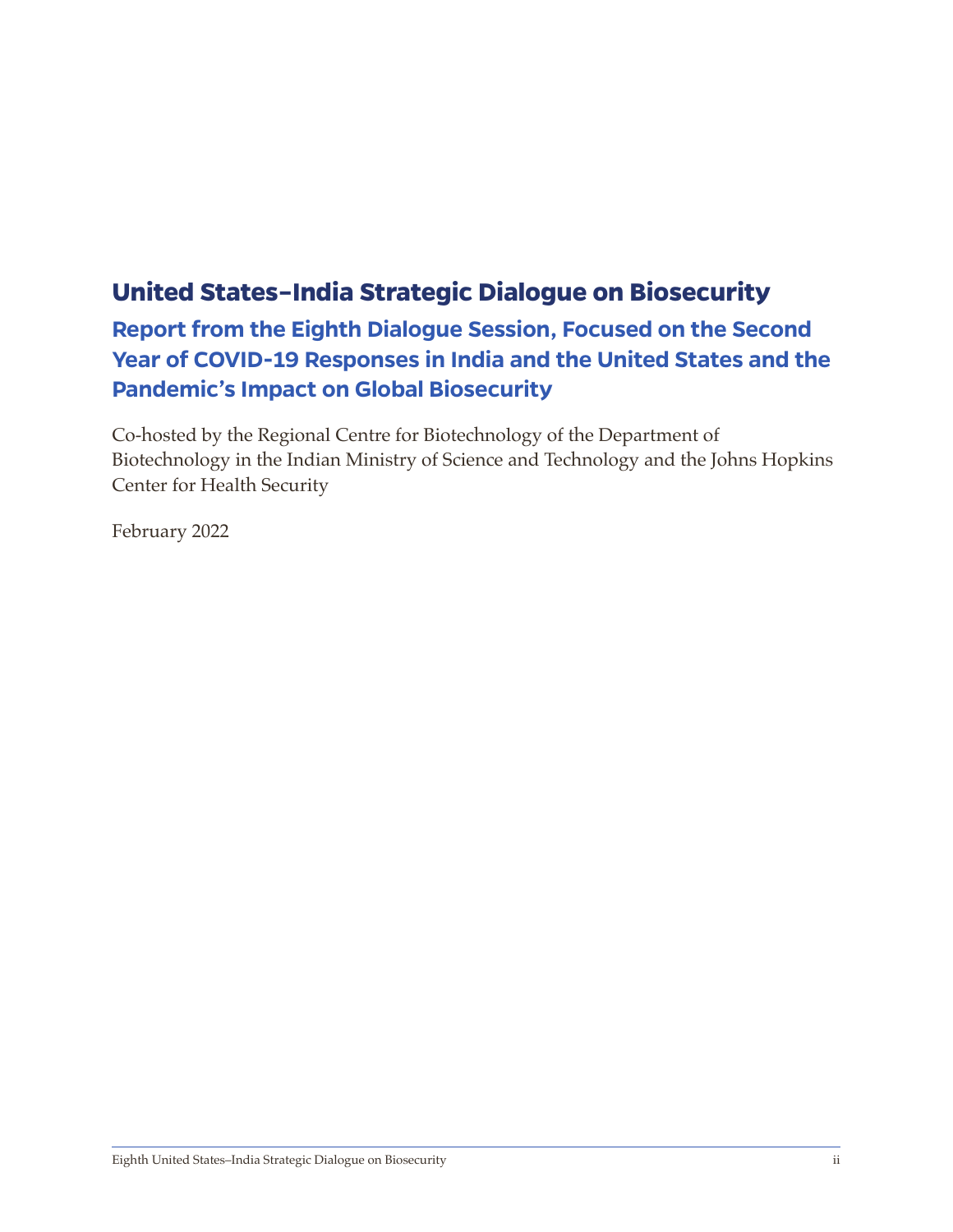# **United States–India Strategic Dialogue on Biosecurity**

**Report from the Eighth Dialogue Session, Focused on the Second Year of COVID-19 Responses in India and the United States and the Pandemic's Impact on Global Biosecurity** 

Co-hosted by the Regional Centre for Biotechnology of the Department of Biotechnology in the Indian Ministry of Science and Technology and the Johns Hopkins Center for Health Security

February 2022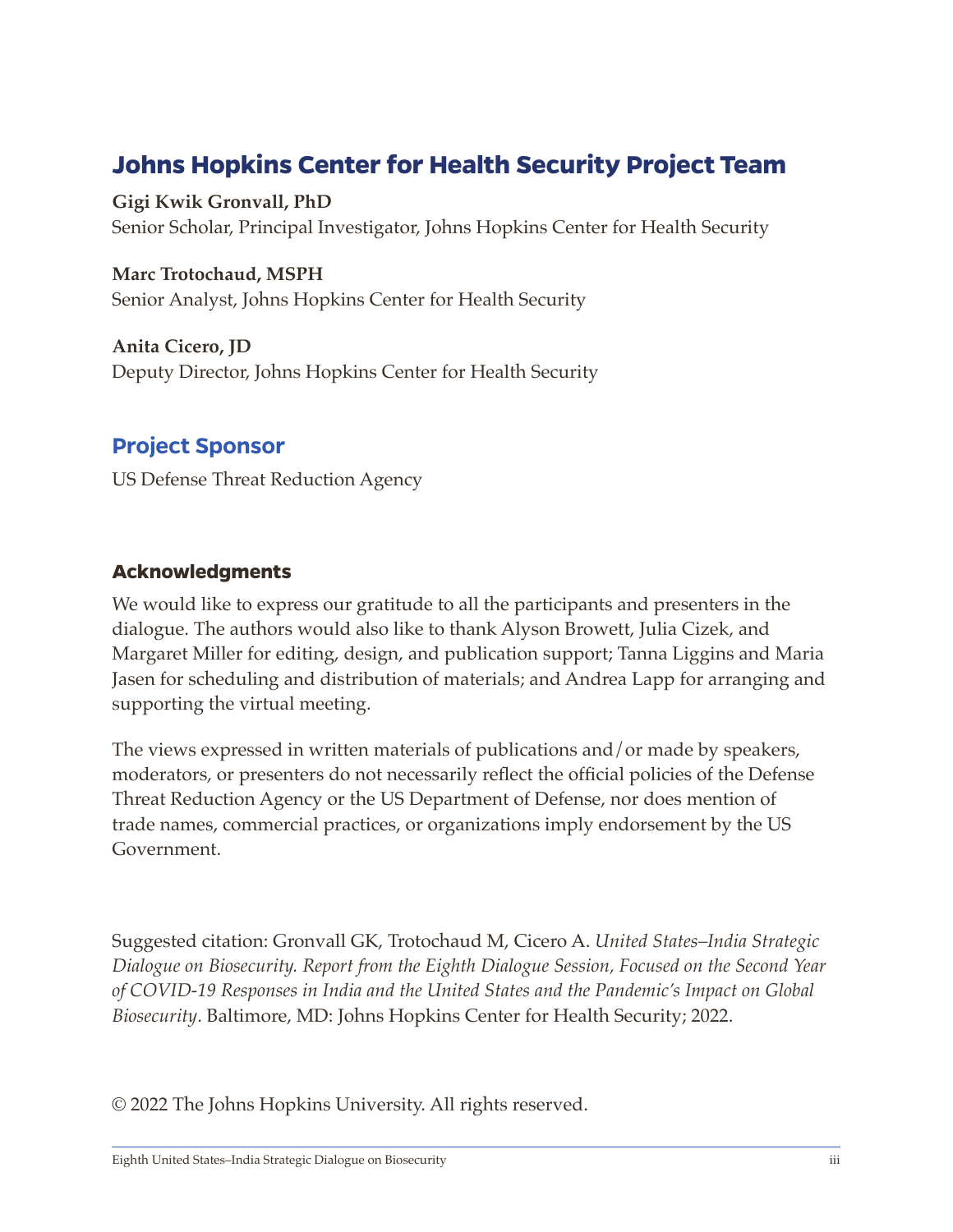# **Johns Hopkins Center for Health Security Project Team**

**Gigi Kwik Gronvall, PhD** Senior Scholar, Principal Investigator, Johns Hopkins Center for Health Security

**Marc Trotochaud, MSPH** Senior Analyst, Johns Hopkins Center for Health Security

**Anita Cicero, JD** Deputy Director, Johns Hopkins Center for Health Security

#### **Project Sponsor**

US Defense Threat Reduction Agency

#### **Acknowledgments**

We would like to express our gratitude to all the participants and presenters in the dialogue. The authors would also like to thank Alyson Browett, Julia Cizek, and Margaret Miller for editing, design, and publication support; Tanna Liggins and Maria Jasen for scheduling and distribution of materials; and Andrea Lapp for arranging and supporting the virtual meeting.

The views expressed in written materials of publications and/or made by speakers, moderators, or presenters do not necessarily reflect the official policies of the Defense Threat Reduction Agency or the US Department of Defense, nor does mention of trade names, commercial practices, or organizations imply endorsement by the US Government.

Suggested citation: Gronvall GK, Trotochaud M, Cicero A. *United States–India Strategic Dialogue on Biosecurity. Report from the Eighth Dialogue Session, Focused on the Second Year of COVID-19 Responses in India and the United States and the Pandemic's Impact on Global Biosecurity*. Baltimore, MD: Johns Hopkins Center for Health Security; 2022.

© 2022 The Johns Hopkins University. All rights reserved.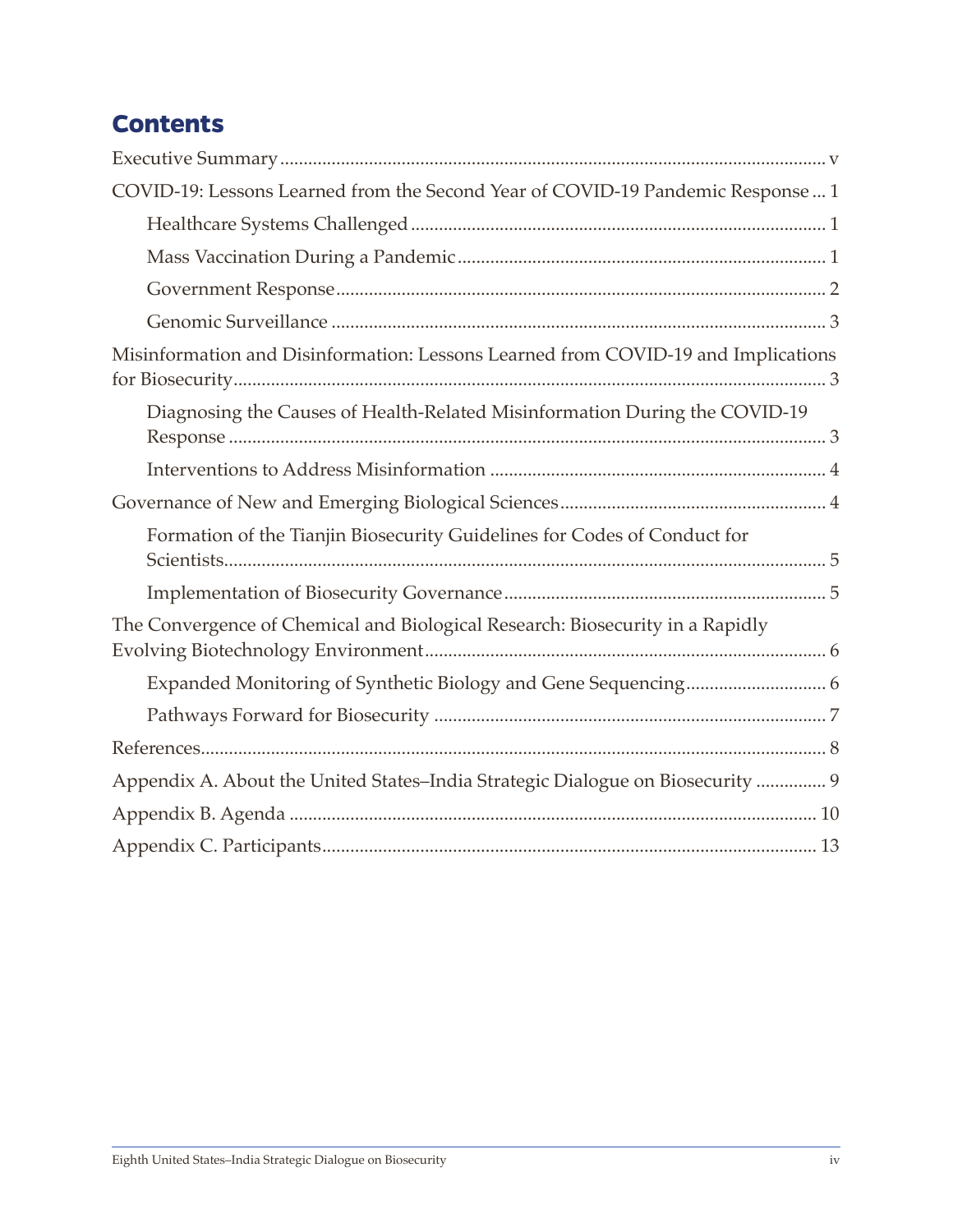# **Contents**

| COVID-19: Lessons Learned from the Second Year of COVID-19 Pandemic Response  1   |
|-----------------------------------------------------------------------------------|
|                                                                                   |
|                                                                                   |
|                                                                                   |
|                                                                                   |
| Misinformation and Disinformation: Lessons Learned from COVID-19 and Implications |
| Diagnosing the Causes of Health-Related Misinformation During the COVID-19        |
|                                                                                   |
|                                                                                   |
| Formation of the Tianjin Biosecurity Guidelines for Codes of Conduct for          |
|                                                                                   |
| The Convergence of Chemical and Biological Research: Biosecurity in a Rapidly     |
|                                                                                   |
|                                                                                   |
|                                                                                   |
| Appendix A. About the United States-India Strategic Dialogue on Biosecurity  9    |
|                                                                                   |
|                                                                                   |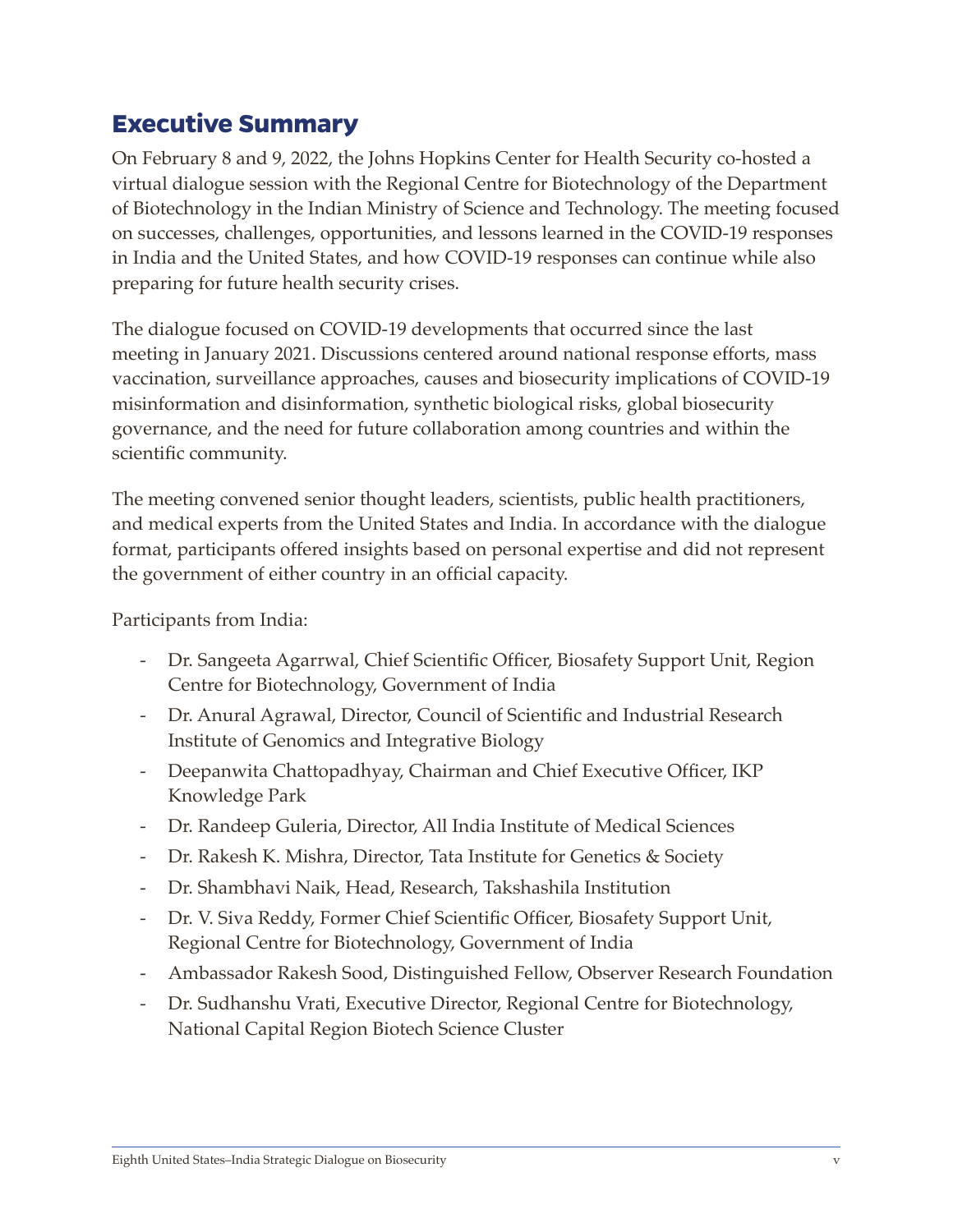### <span id="page-4-0"></span>**Executive Summary**

On February 8 and 9, 2022, the Johns Hopkins Center for Health Security co-hosted a virtual dialogue session with the Regional Centre for Biotechnology of the Department of Biotechnology in the Indian Ministry of Science and Technology. The meeting focused on successes, challenges, opportunities, and lessons learned in the COVID-19 responses in India and the United States, and how COVID-19 responses can continue while also preparing for future health security crises.

The dialogue focused on COVID-19 developments that occurred since the last meeting in January 2021. Discussions centered around national response efforts, mass vaccination, surveillance approaches, causes and biosecurity implications of COVID-19 misinformation and disinformation, synthetic biological risks, global biosecurity governance, and the need for future collaboration among countries and within the scientific community.

The meeting convened senior thought leaders, scientists, public health practitioners, and medical experts from the United States and India. In accordance with the dialogue format, participants offered insights based on personal expertise and did not represent the government of either country in an official capacity.

Participants from India:

- Dr. Sangeeta Agarrwal, Chief Scientific Officer, Biosafety Support Unit, Region Centre for Biotechnology, Government of India
- Dr. Anural Agrawal, Director, Council of Scientific and Industrial Research Institute of Genomics and Integrative Biology
- Deepanwita Chattopadhyay, Chairman and Chief Executive Officer, IKP Knowledge Park
- Dr. Randeep Guleria, Director, All India Institute of Medical Sciences
- Dr. Rakesh K. Mishra, Director, Tata Institute for Genetics & Society
- Dr. Shambhavi Naik, Head, Research, Takshashila Institution
- Dr. V. Siva Reddy, Former Chief Scientific Officer, Biosafety Support Unit, Regional Centre for Biotechnology, Government of India
- Ambassador Rakesh Sood, Distinguished Fellow, Observer Research Foundation
- Dr. Sudhanshu Vrati, Executive Director, Regional Centre for Biotechnology, National Capital Region Biotech Science Cluster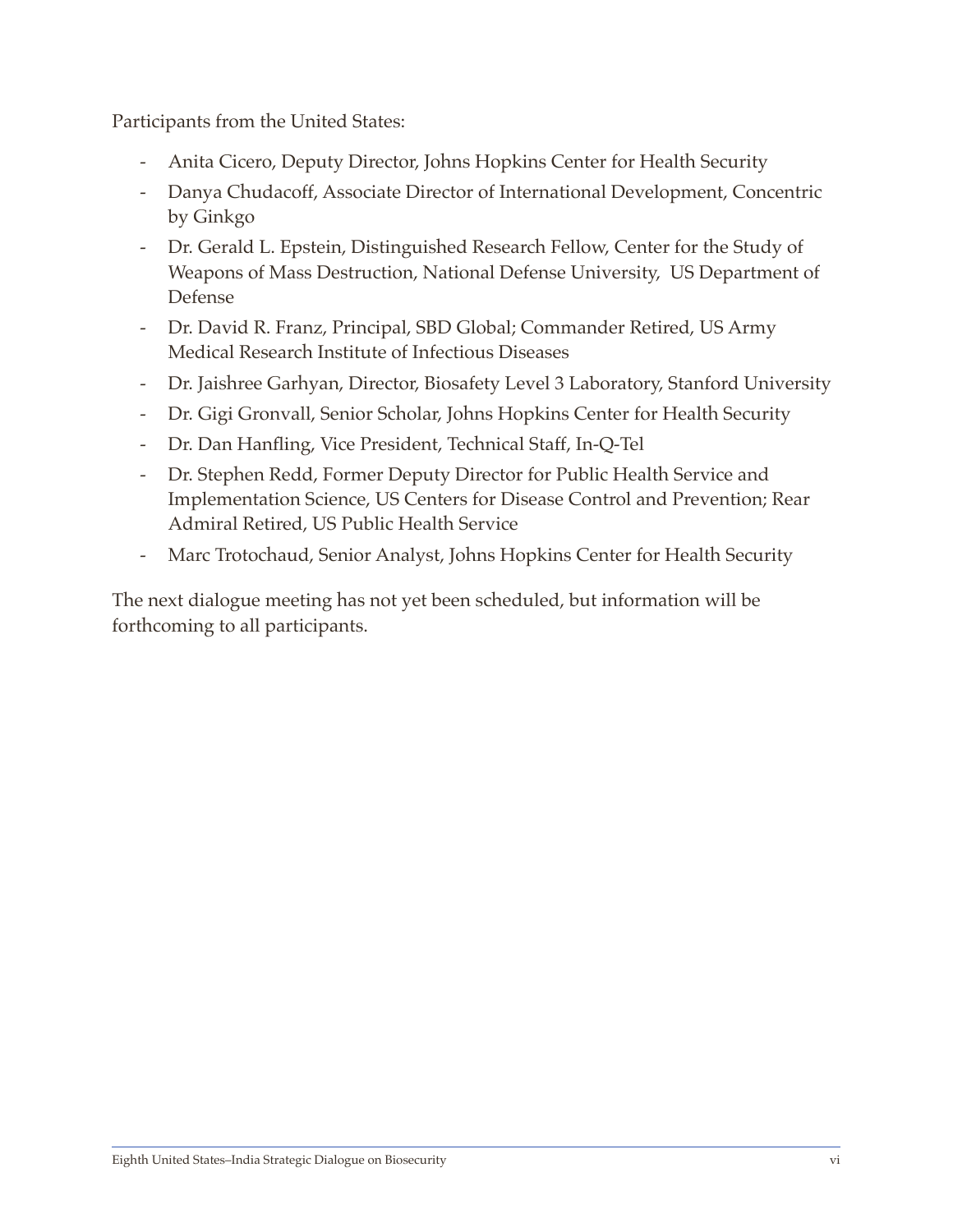Participants from the United States:

- Anita Cicero, Deputy Director, Johns Hopkins Center for Health Security
- Danya Chudacoff, Associate Director of International Development, Concentric by Ginkgo
- Dr. Gerald L. Epstein, Distinguished Research Fellow, Center for the Study of Weapons of Mass Destruction, National Defense University, US Department of Defense
- Dr. David R. Franz, Principal, SBD Global; Commander Retired, US Army Medical Research Institute of Infectious Diseases
- Dr. Jaishree Garhyan, Director, Biosafety Level 3 Laboratory, Stanford University
- Dr. Gigi Gronvall, Senior Scholar, Johns Hopkins Center for Health Security
- Dr. Dan Hanfling, Vice President, Technical Staff, In-Q-Tel
- Dr. Stephen Redd, Former Deputy Director for Public Health Service and Implementation Science, US Centers for Disease Control and Prevention; Rear Admiral Retired, US Public Health Service
- Marc Trotochaud, Senior Analyst, Johns Hopkins Center for Health Security

The next dialogue meeting has not yet been scheduled, but information will be forthcoming to all participants.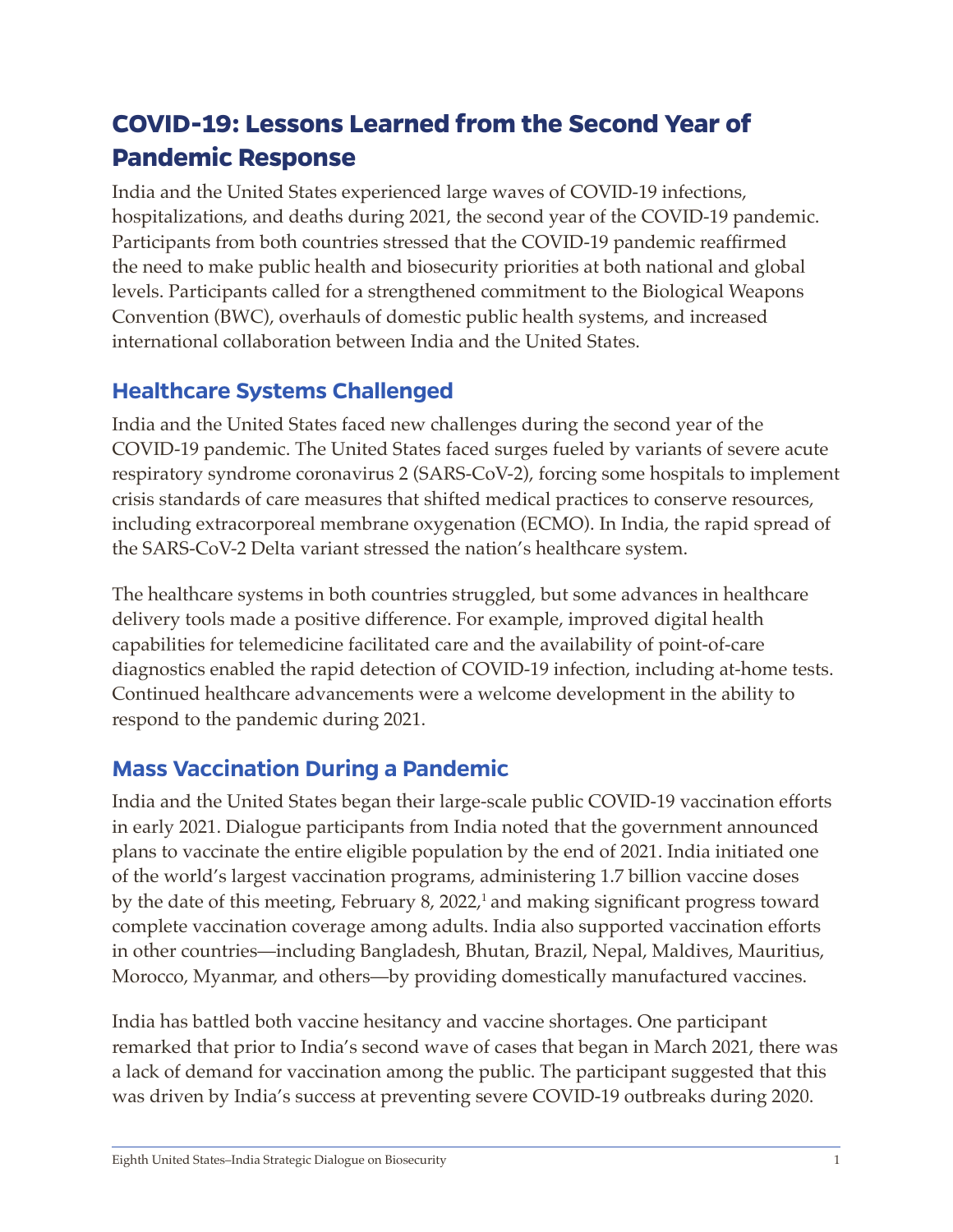# <span id="page-6-0"></span>**COVID-19: Lessons Learned from the Second Year of Pandemic Response**

India and the United States experienced large waves of COVID-19 infections, hospitalizations, and deaths during 2021, the second year of the COVID-19 pandemic. Participants from both countries stressed that the COVID-19 pandemic reaffirmed the need to make public health and biosecurity priorities at both national and global levels. Participants called for a strengthened commitment to the Biological Weapons Convention (BWC), overhauls of domestic public health systems, and increased international collaboration between India and the United States.

#### <span id="page-6-1"></span>**Healthcare Systems Challenged**

India and the United States faced new challenges during the second year of the COVID-19 pandemic. The United States faced surges fueled by variants of severe acute respiratory syndrome coronavirus 2 (SARS-CoV-2), forcing some hospitals to implement crisis standards of care measures that shifted medical practices to conserve resources, including extracorporeal membrane oxygenation (ECMO). In India, the rapid spread of the SARS-CoV-2 Delta variant stressed the nation's healthcare system.

The healthcare systems in both countries struggled, but some advances in healthcare delivery tools made a positive difference. For example, improved digital health capabilities for telemedicine facilitated care and the availability of point-of-care diagnostics enabled the rapid detection of COVID-19 infection, including at-home tests. Continued healthcare advancements were a welcome development in the ability to respond to the pandemic during 2021.

## <span id="page-6-2"></span>**Mass Vaccination During a Pandemic**

India and the United States began their large-scale public COVID-19 vaccination efforts in early 2021. Dialogue participants from India noted that the government announced plans to vaccinate the entire eligible population by the end of 2021. India initiated one of the world's largest vaccination programs, administering 1.7 billion vaccine doses by the date of this meeting, February 8, 2022,<sup>1</sup> and making significant progress toward complete vaccination coverage among adults. India also supported vaccination efforts in other countries—including Bangladesh, Bhutan, Brazil, Nepal, Maldives, Mauritius, Morocco, Myanmar, and others—by providing domestically manufactured vaccines.

India has battled both vaccine hesitancy and vaccine shortages. One participant remarked that prior to India's second wave of cases that began in March 2021, there was a lack of demand for vaccination among the public. The participant suggested that this was driven by India's success at preventing severe COVID-19 outbreaks during 2020.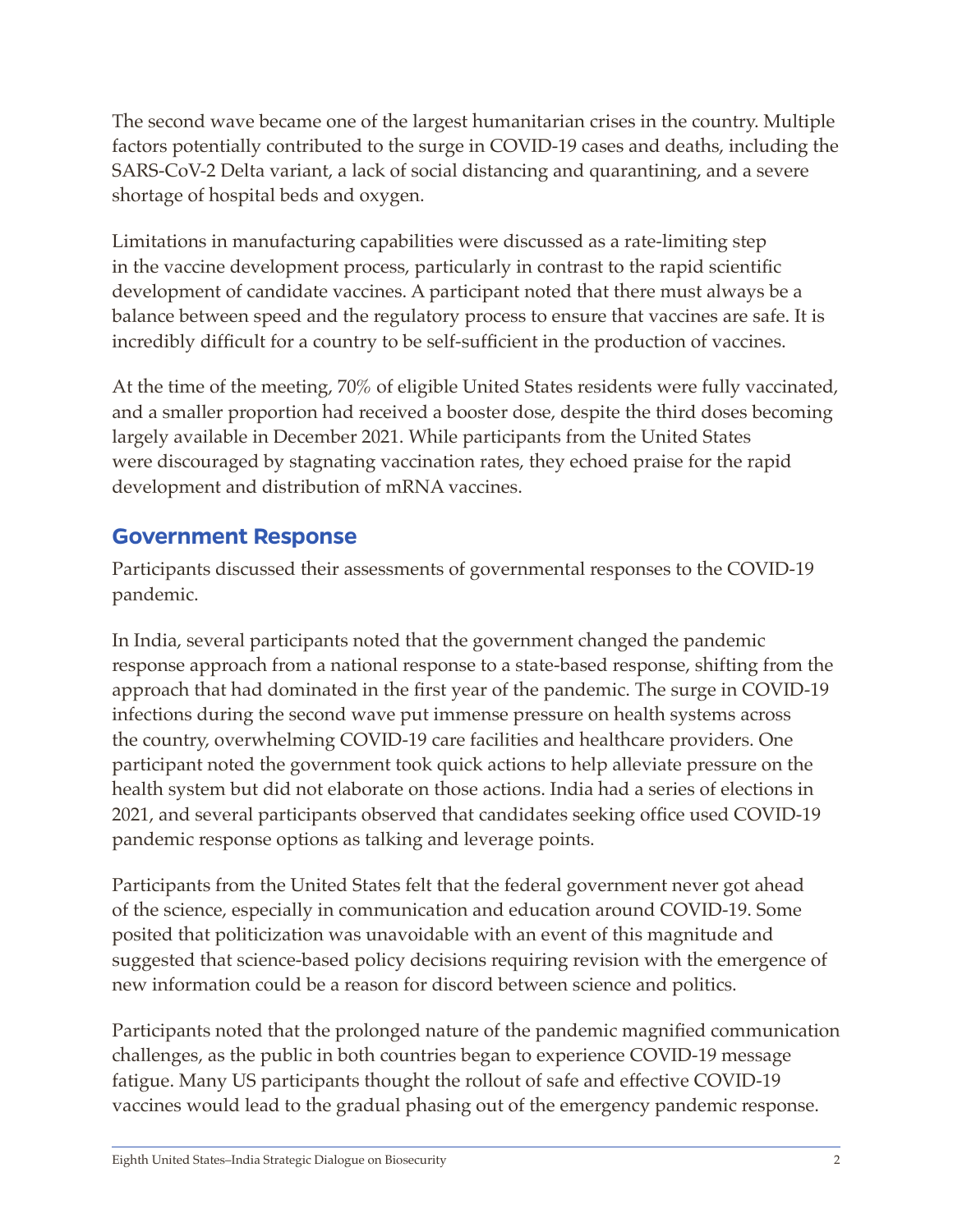The second wave became one of the largest humanitarian crises in the country. Multiple factors potentially contributed to the surge in COVID-19 cases and deaths, including the SARS-CoV-2 Delta variant, a lack of social distancing and quarantining, and a severe shortage of hospital beds and oxygen.

Limitations in manufacturing capabilities were discussed as a rate-limiting step in the vaccine development process, particularly in contrast to the rapid scientific development of candidate vaccines. A participant noted that there must always be a balance between speed and the regulatory process to ensure that vaccines are safe. It is incredibly difficult for a country to be self-sufficient in the production of vaccines.

At the time of the meeting, 70% of eligible United States residents were fully vaccinated, and a smaller proportion had received a booster dose, despite the third doses becoming largely available in December 2021. While participants from the United States were discouraged by stagnating vaccination rates, they echoed praise for the rapid development and distribution of mRNA vaccines.

#### <span id="page-7-0"></span>**Government Response**

Participants discussed their assessments of governmental responses to the COVID-19 pandemic.

In India, several participants noted that the government changed the pandemic response approach from a national response to a state-based response, shifting from the approach that had dominated in the first year of the pandemic. The surge in COVID-19 infections during the second wave put immense pressure on health systems across the country, overwhelming COVID-19 care facilities and healthcare providers. One participant noted the government took quick actions to help alleviate pressure on the health system but did not elaborate on those actions. India had a series of elections in 2021, and several participants observed that candidates seeking office used COVID-19 pandemic response options as talking and leverage points.

Participants from the United States felt that the federal government never got ahead of the science, especially in communication and education around COVID-19. Some posited that politicization was unavoidable with an event of this magnitude and suggested that science-based policy decisions requiring revision with the emergence of new information could be a reason for discord between science and politics.

Participants noted that the prolonged nature of the pandemic magnified communication challenges, as the public in both countries began to experience COVID-19 message fatigue. Many US participants thought the rollout of safe and effective COVID-19 vaccines would lead to the gradual phasing out of the emergency pandemic response.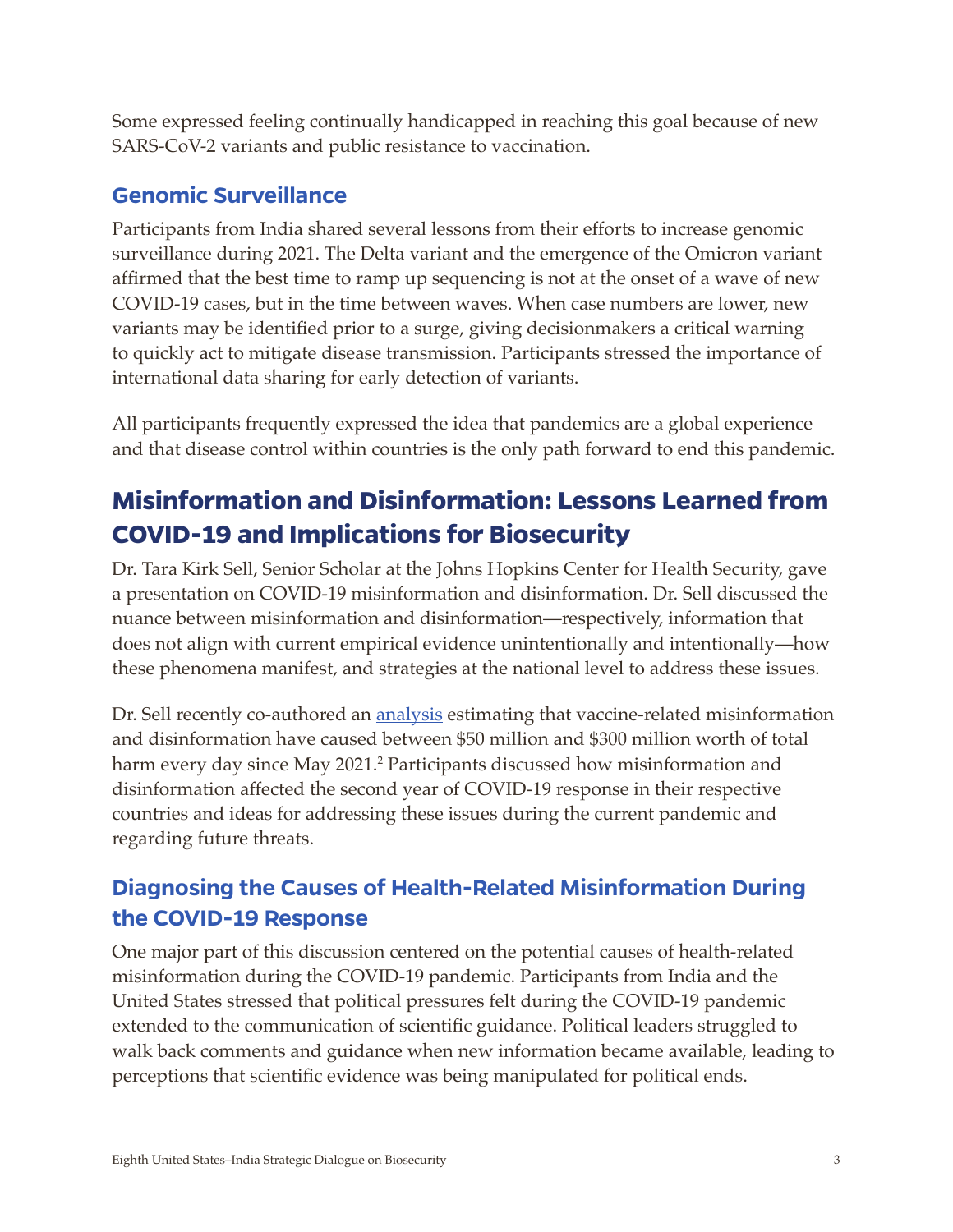Some expressed feeling continually handicapped in reaching this goal because of new SARS-CoV-2 variants and public resistance to vaccination.

#### <span id="page-8-0"></span>**Genomic Surveillance**

Participants from India shared several lessons from their efforts to increase genomic surveillance during 2021. The Delta variant and the emergence of the Omicron variant affirmed that the best time to ramp up sequencing is not at the onset of a wave of new COVID-19 cases, but in the time between waves. When case numbers are lower, new variants may be identified prior to a surge, giving decisionmakers a critical warning to quickly act to mitigate disease transmission. Participants stressed the importance of international data sharing for early detection of variants.

All participants frequently expressed the idea that pandemics are a global experience and that disease control within countries is the only path forward to end this pandemic.

# <span id="page-8-1"></span>**Misinformation and Disinformation: Lessons Learned from COVID-19 and Implications for Biosecurity**

Dr. Tara Kirk Sell, Senior Scholar at the Johns Hopkins Center for Health Security, gave a presentation on COVID-19 misinformation and disinformation. Dr. Sell discussed the nuance between misinformation and disinformation—respectively, information that does not align with current empirical evidence unintentionally and intentionally—how these phenomena manifest, and strategies at the national level to address these issues.

Dr. Sell recently co-authored an <u>analysis</u> estimating that vaccine-related misinformation and disinformation have caused between \$50 million and \$300 million worth of total harm every day since May 2021.<sup>2</sup> Participants discussed how misinformation and disinformation affected the second year of COVID-19 response in their respective countries and ideas for addressing these issues during the current pandemic and regarding future threats.

# <span id="page-8-2"></span>**Diagnosing the Causes of Health-Related Misinformation During the COVID-19 Response**

One major part of this discussion centered on the potential causes of health-related misinformation during the COVID-19 pandemic. Participants from India and the United States stressed that political pressures felt during the COVID-19 pandemic extended to the communication of scientific guidance. Political leaders struggled to walk back comments and guidance when new information became available, leading to perceptions that scientific evidence was being manipulated for political ends.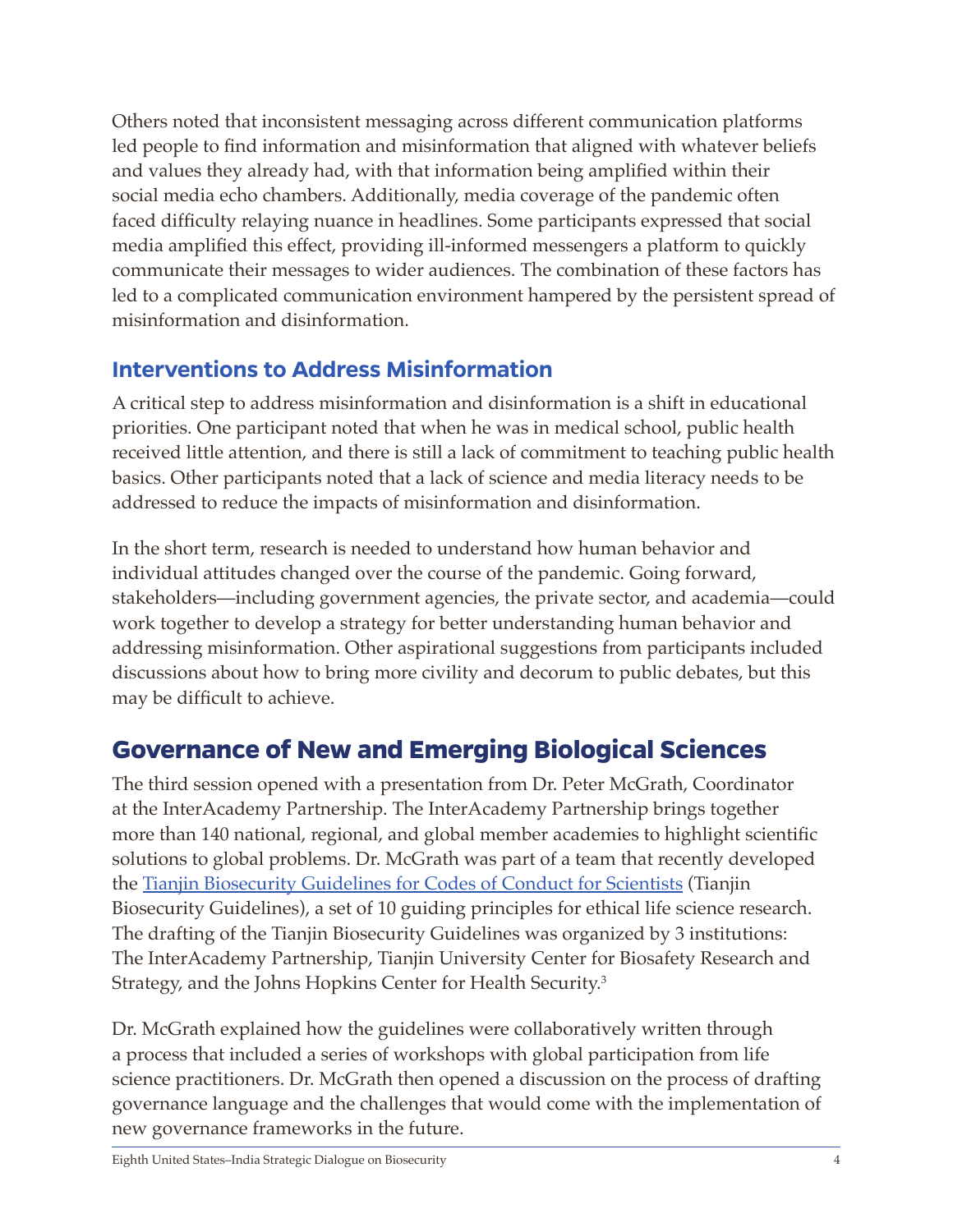Others noted that inconsistent messaging across different communication platforms led people to find information and misinformation that aligned with whatever beliefs and values they already had, with that information being amplified within their social media echo chambers. Additionally, media coverage of the pandemic often faced difficulty relaying nuance in headlines. Some participants expressed that social media amplified this effect, providing ill-informed messengers a platform to quickly communicate their messages to wider audiences. The combination of these factors has led to a complicated communication environment hampered by the persistent spread of misinformation and disinformation.

#### <span id="page-9-0"></span>**Interventions to Address Misinformation**

A critical step to address misinformation and disinformation is a shift in educational priorities. One participant noted that when he was in medical school, public health received little attention, and there is still a lack of commitment to teaching public health basics. Other participants noted that a lack of science and media literacy needs to be addressed to reduce the impacts of misinformation and disinformation.

In the short term, research is needed to understand how human behavior and individual attitudes changed over the course of the pandemic. Going forward, stakeholders—including government agencies, the private sector, and academia—could work together to develop a strategy for better understanding human behavior and addressing misinformation. Other aspirational suggestions from participants included discussions about how to bring more civility and decorum to public debates, but this may be difficult to achieve.

# <span id="page-9-1"></span>**Governance of New and Emerging Biological Sciences**

The third session opened with a presentation from Dr. Peter McGrath, Coordinator at the InterAcademy Partnership. The InterAcademy Partnership brings together more than 140 national, regional, and global member academies to highlight scientific solutions to global problems. Dr. McGrath was part of a team that recently developed the [Tianjin Biosecurity Guidelines for Codes of Conduct for Scientists](https://www.centerforhealthsecurity.org/our-work/Center-projects/IAPendorsementTianjinCodes/20210707-IAP-TianjinGuidelines.pdf) (Tianjin Biosecurity Guidelines), a set of 10 guiding principles for ethical life science research. The drafting of the Tianjin Biosecurity Guidelines was organized by 3 institutions: The InterAcademy Partnership, Tianjin University Center for Biosafety Research and Strategy, and the Johns Hopkins Center for Health Security.3

Dr. McGrath explained how the guidelines were collaboratively written through a process that included a series of workshops with global participation from life science practitioners. Dr. McGrath then opened a discussion on the process of drafting governance language and the challenges that would come with the implementation of new governance frameworks in the future.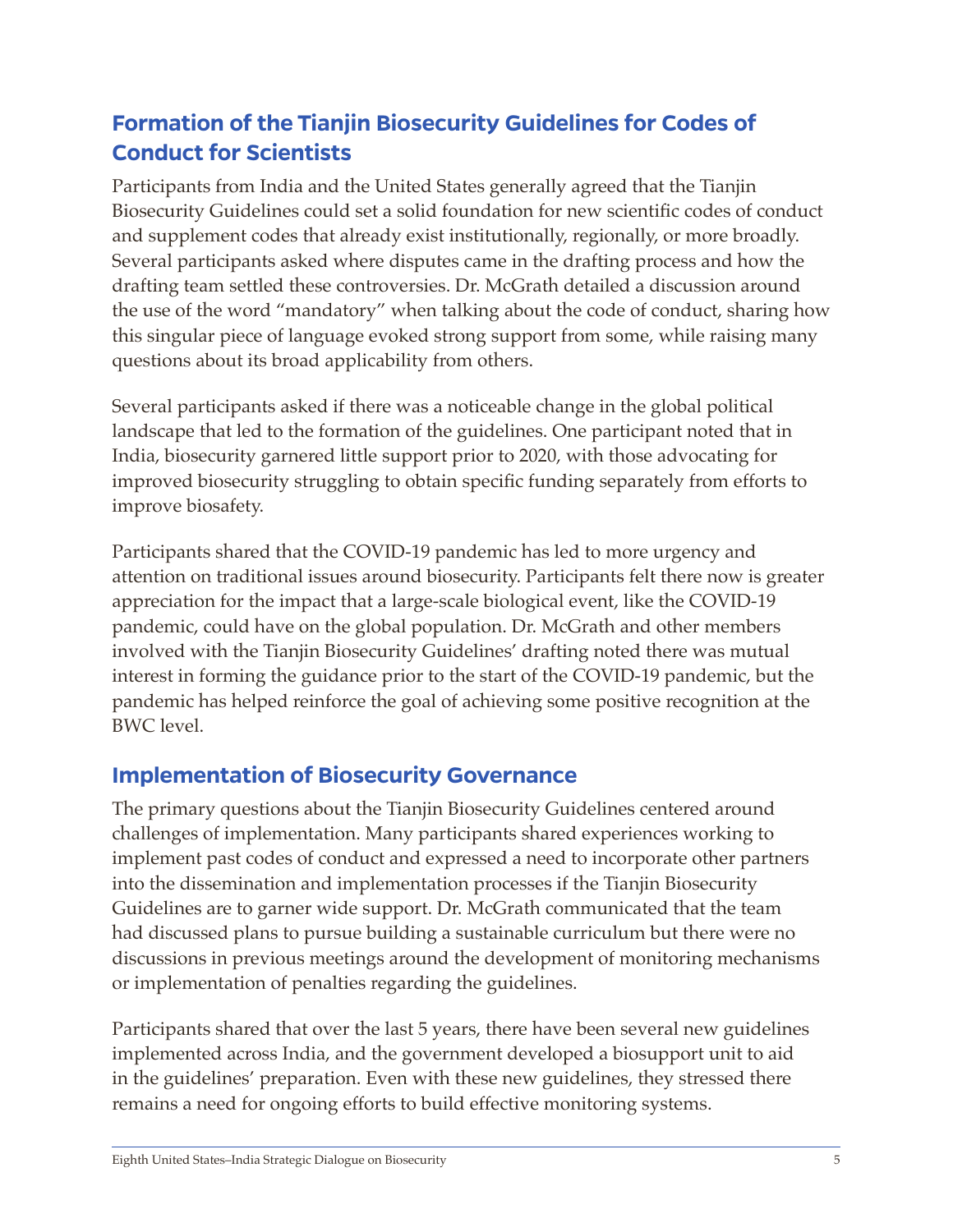# <span id="page-10-0"></span>**Formation of the Tianjin Biosecurity Guidelines for Codes of Conduct for Scientists**

Participants from India and the United States generally agreed that the Tianjin Biosecurity Guidelines could set a solid foundation for new scientific codes of conduct and supplement codes that already exist institutionally, regionally, or more broadly. Several participants asked where disputes came in the drafting process and how the drafting team settled these controversies. Dr. McGrath detailed a discussion around the use of the word "mandatory" when talking about the code of conduct, sharing how this singular piece of language evoked strong support from some, while raising many questions about its broad applicability from others.

Several participants asked if there was a noticeable change in the global political landscape that led to the formation of the guidelines. One participant noted that in India, biosecurity garnered little support prior to 2020, with those advocating for improved biosecurity struggling to obtain specific funding separately from efforts to improve biosafety.

Participants shared that the COVID-19 pandemic has led to more urgency and attention on traditional issues around biosecurity. Participants felt there now is greater appreciation for the impact that a large-scale biological event, like the COVID-19 pandemic, could have on the global population. Dr. McGrath and other members involved with the Tianjin Biosecurity Guidelines' drafting noted there was mutual interest in forming the guidance prior to the start of the COVID-19 pandemic, but the pandemic has helped reinforce the goal of achieving some positive recognition at the BWC level.

#### <span id="page-10-1"></span>**Implementation of Biosecurity Governance**

The primary questions about the Tianjin Biosecurity Guidelines centered around challenges of implementation. Many participants shared experiences working to implement past codes of conduct and expressed a need to incorporate other partners into the dissemination and implementation processes if the Tianjin Biosecurity Guidelines are to garner wide support. Dr. McGrath communicated that the team had discussed plans to pursue building a sustainable curriculum but there were no discussions in previous meetings around the development of monitoring mechanisms or implementation of penalties regarding the guidelines.

Participants shared that over the last 5 years, there have been several new guidelines implemented across India, and the government developed a biosupport unit to aid in the guidelines' preparation. Even with these new guidelines, they stressed there remains a need for ongoing efforts to build effective monitoring systems.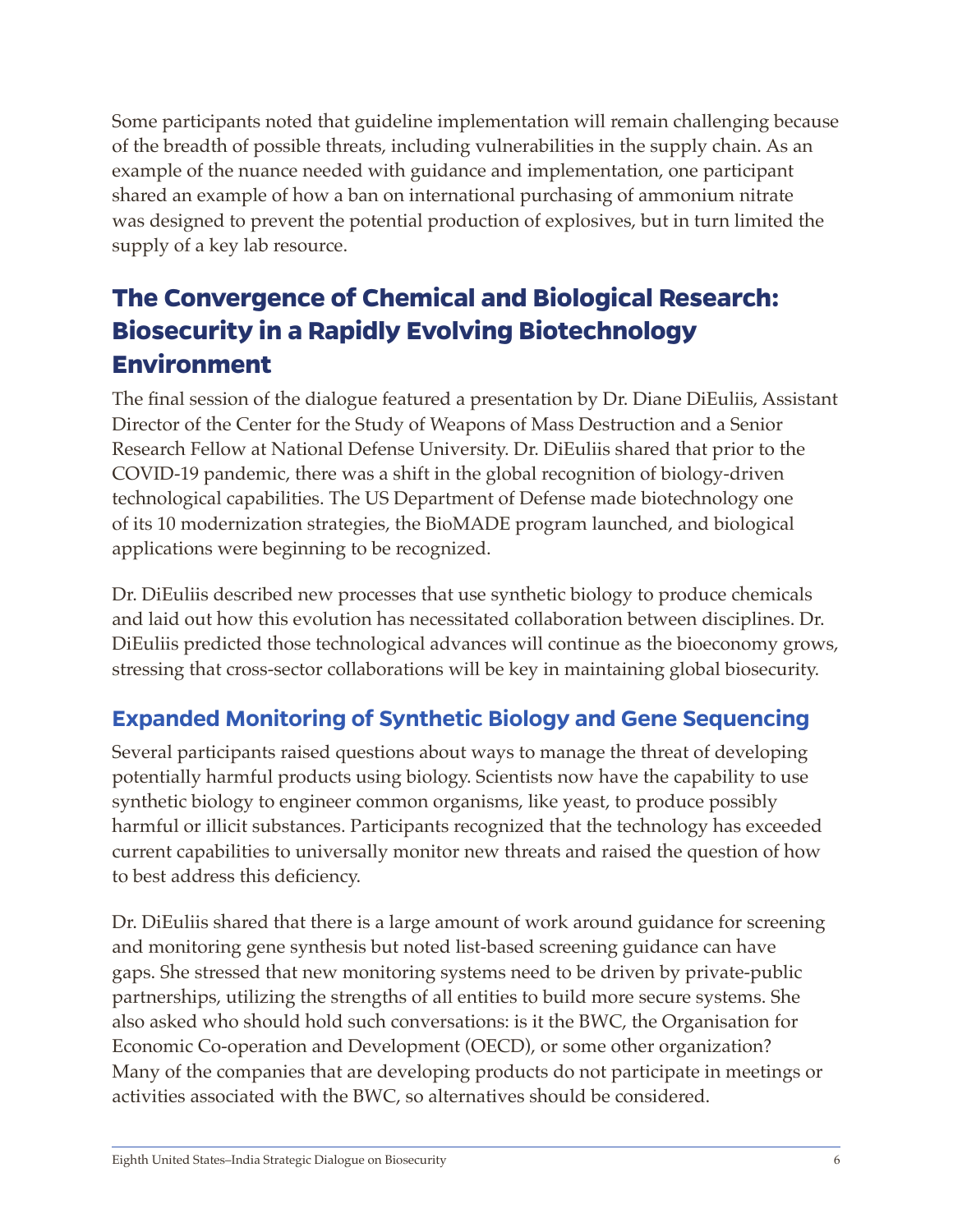Some participants noted that guideline implementation will remain challenging because of the breadth of possible threats, including vulnerabilities in the supply chain. As an example of the nuance needed with guidance and implementation, one participant shared an example of how a ban on international purchasing of ammonium nitrate was designed to prevent the potential production of explosives, but in turn limited the supply of a key lab resource.

# <span id="page-11-0"></span>**The Convergence of Chemical and Biological Research: Biosecurity in a Rapidly Evolving Biotechnology Environment**

The final session of the dialogue featured a presentation by Dr. Diane DiEuliis, Assistant Director of the Center for the Study of Weapons of Mass Destruction and a Senior Research Fellow at National Defense University. Dr. DiEuliis shared that prior to the COVID-19 pandemic, there was a shift in the global recognition of biology-driven technological capabilities. The US Department of Defense made biotechnology one of its 10 modernization strategies, the BioMADE program launched, and biological applications were beginning to be recognized.

Dr. DiEuliis described new processes that use synthetic biology to produce chemicals and laid out how this evolution has necessitated collaboration between disciplines. Dr. DiEuliis predicted those technological advances will continue as the bioeconomy grows, stressing that cross-sector collaborations will be key in maintaining global biosecurity.

## <span id="page-11-1"></span>**Expanded Monitoring of Synthetic Biology and Gene Sequencing**

Several participants raised questions about ways to manage the threat of developing potentially harmful products using biology. Scientists now have the capability to use synthetic biology to engineer common organisms, like yeast, to produce possibly harmful or illicit substances. Participants recognized that the technology has exceeded current capabilities to universally monitor new threats and raised the question of how to best address this deficiency.

Dr. DiEuliis shared that there is a large amount of work around guidance for screening and monitoring gene synthesis but noted list-based screening guidance can have gaps. She stressed that new monitoring systems need to be driven by private-public partnerships, utilizing the strengths of all entities to build more secure systems. She also asked who should hold such conversations: is it the BWC, the Organisation for Economic Co-operation and Development (OECD), or some other organization? Many of the companies that are developing products do not participate in meetings or activities associated with the BWC, so alternatives should be considered.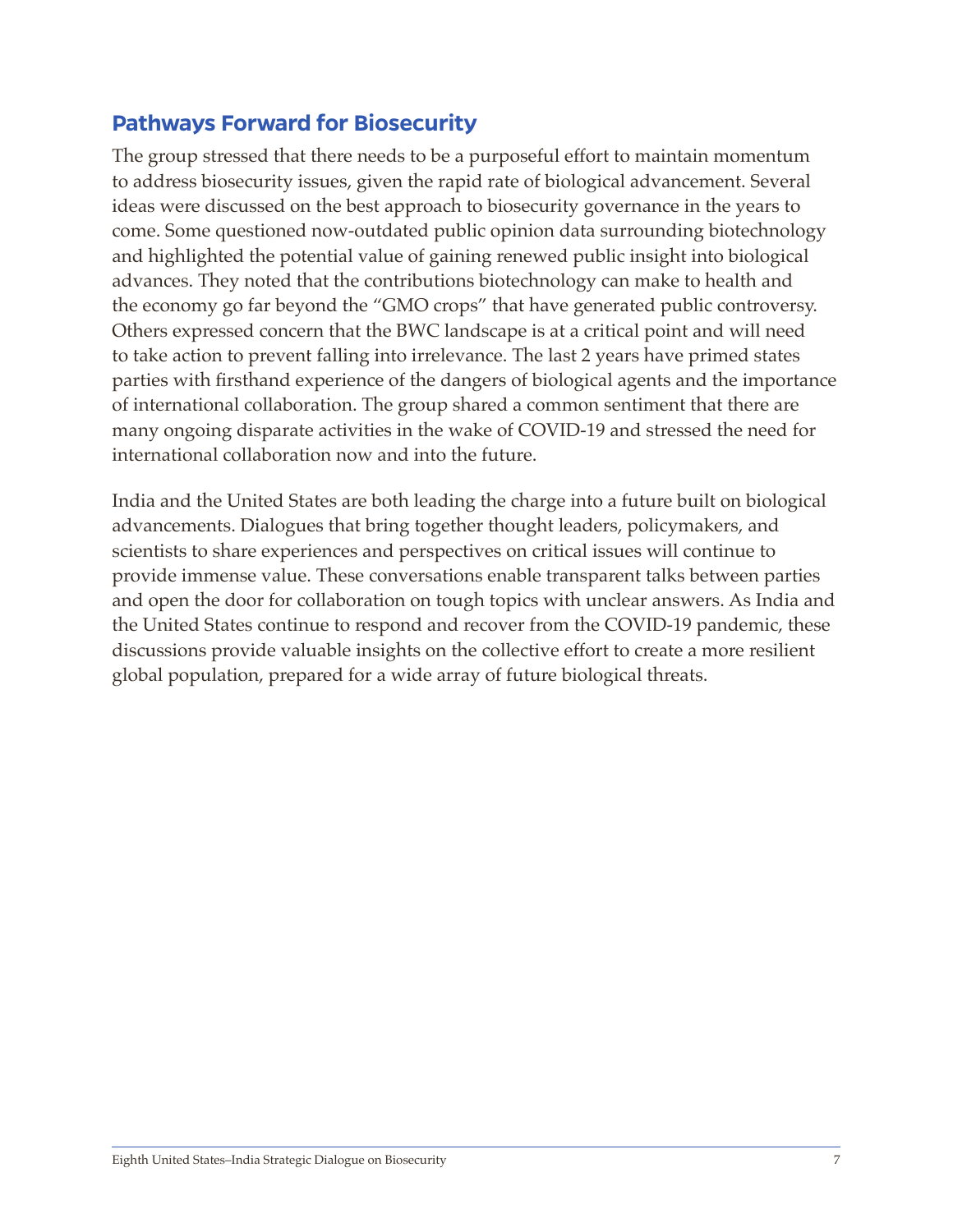#### <span id="page-12-0"></span>**Pathways Forward for Biosecurity**

The group stressed that there needs to be a purposeful effort to maintain momentum to address biosecurity issues, given the rapid rate of biological advancement. Several ideas were discussed on the best approach to biosecurity governance in the years to come. Some questioned now-outdated public opinion data surrounding biotechnology and highlighted the potential value of gaining renewed public insight into biological advances. They noted that the contributions biotechnology can make to health and the economy go far beyond the "GMO crops" that have generated public controversy. Others expressed concern that the BWC landscape is at a critical point and will need to take action to prevent falling into irrelevance. The last 2 years have primed states parties with firsthand experience of the dangers of biological agents and the importance of international collaboration. The group shared a common sentiment that there are many ongoing disparate activities in the wake of COVID-19 and stressed the need for international collaboration now and into the future.

India and the United States are both leading the charge into a future built on biological advancements. Dialogues that bring together thought leaders, policymakers, and scientists to share experiences and perspectives on critical issues will continue to provide immense value. These conversations enable transparent talks between parties and open the door for collaboration on tough topics with unclear answers. As India and the United States continue to respond and recover from the COVID-19 pandemic, these discussions provide valuable insights on the collective effort to create a more resilient global population, prepared for a wide array of future biological threats.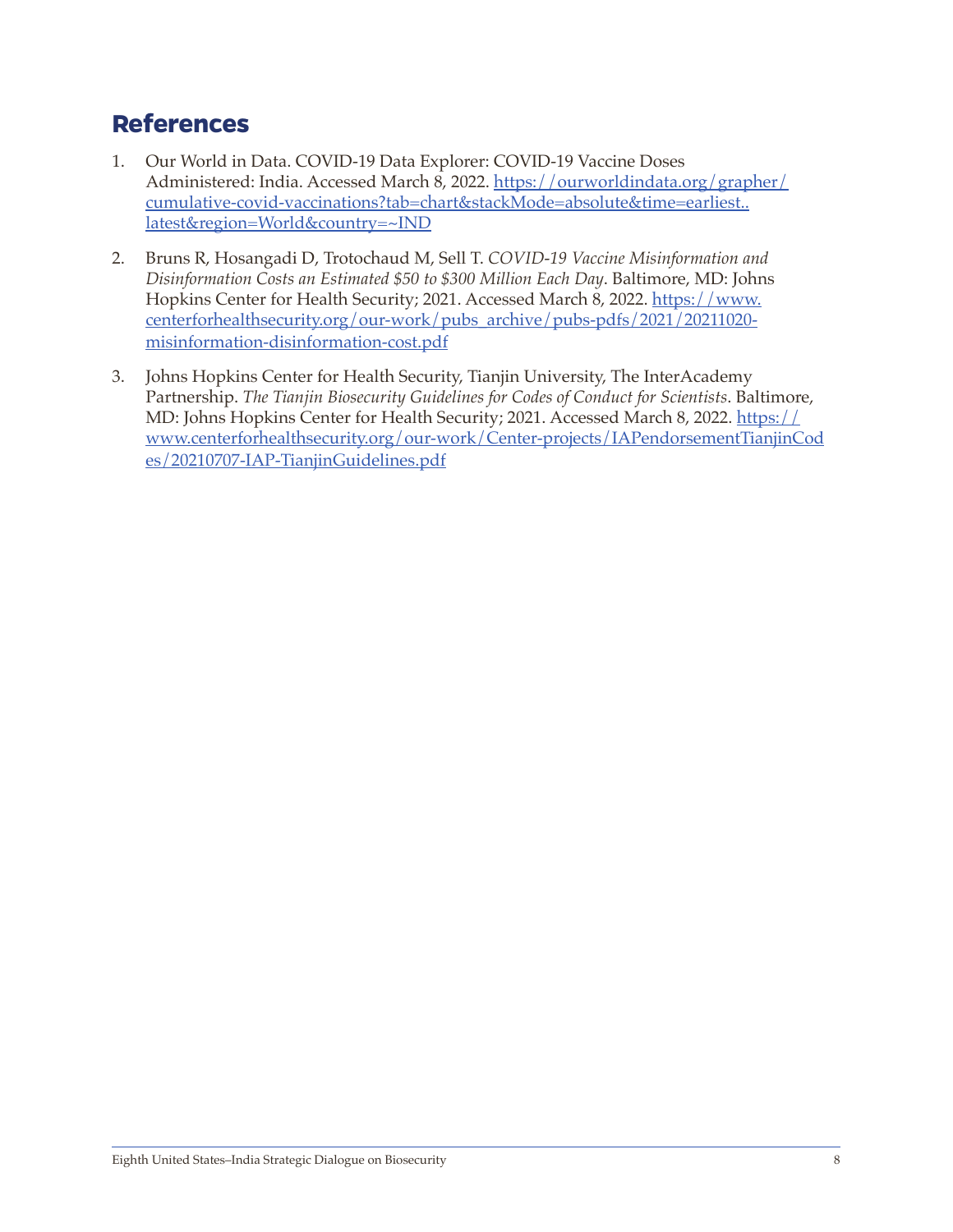# <span id="page-13-0"></span>**References**

- 1. Our World in Data. COVID-19 Data Explorer: COVID-19 Vaccine Doses Administered: India. Accessed March 8, 2022. [https://ourworldindata.org/grapher/](https://ourworldindata.org/grapher/cumulative-covid-vaccinations?tab=chart&stackMode=absolute&time=earliest..latest®ion=World&country=~IND) [cumulative-covid-vaccinations?tab=chart&stackMode=absolute&time=earliest..](https://ourworldindata.org/grapher/cumulative-covid-vaccinations?tab=chart&stackMode=absolute&time=earliest..latest®ion=World&country=~IND) [latest&region=World&country=~IND](https://ourworldindata.org/grapher/cumulative-covid-vaccinations?tab=chart&stackMode=absolute&time=earliest..latest®ion=World&country=~IND)
- 2. Bruns R, Hosangadi D, Trotochaud M, Sell T. *COVID-19 Vaccine Misinformation and Disinformation Costs an Estimated \$50 to \$300 Million Each Day*. Baltimore, MD: Johns Hopkins Center for Health Security; 2021. Accessed March 8, 2022. [https://www.](https://www.centerforhealthsecurity.org/our-work/pubs_archive/pubs-pdfs/2021/20211020-misinformation-disinformation-cost.pdf) [centerforhealthsecurity.org/our-work/pubs\\_archive/pubs-pdfs/2021/20211020](https://www.centerforhealthsecurity.org/our-work/pubs_archive/pubs-pdfs/2021/20211020-misinformation-disinformation-cost.pdf) [misinformation-disinformation-cost.pdf](https://www.centerforhealthsecurity.org/our-work/pubs_archive/pubs-pdfs/2021/20211020-misinformation-disinformation-cost.pdf)
- 3. Johns Hopkins Center for Health Security, Tianjin University, The InterAcademy Partnership. *The Tianjin Biosecurity Guidelines for Codes of Conduct for Scientists*. Baltimore, MD: Johns Hopkins Center for Health Security; 2021. Accessed March 8, 2022. [https://](https://www.centerforhealthsecurity.org/our-work/Center-projects/IAPendorsementTianjinCodes/20210707-IAP-TianjinGuidelines.pdf) [www.centerforhealthsecurity.org/our-work/Center-projects/IAPendorsementTianjinCod](https://www.centerforhealthsecurity.org/our-work/Center-projects/IAPendorsementTianjinCodes/20210707-IAP-TianjinGuidelines.pdf) [es/20210707-IAP-TianjinGuidelines.pdf](https://www.centerforhealthsecurity.org/our-work/Center-projects/IAPendorsementTianjinCodes/20210707-IAP-TianjinGuidelines.pdf)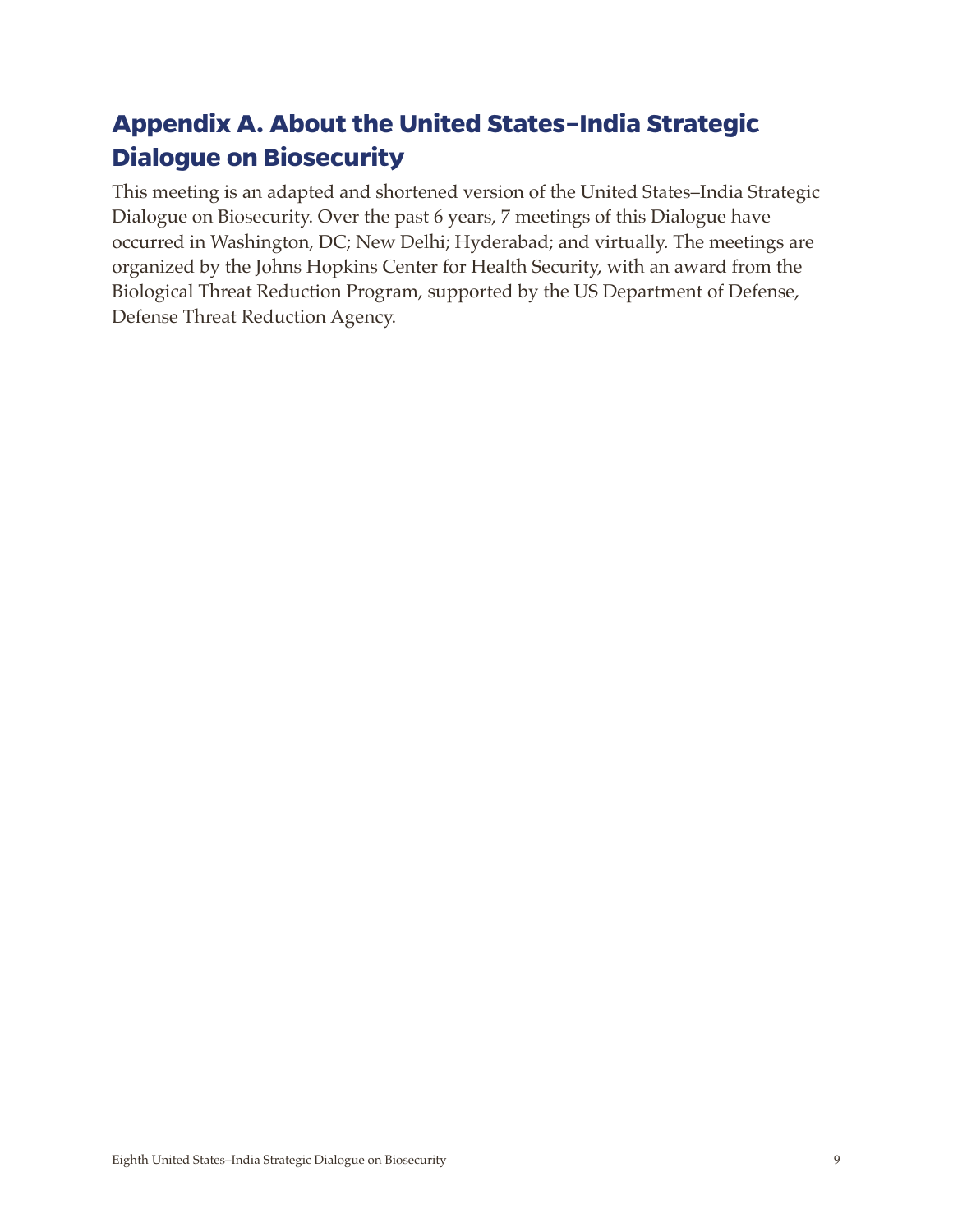# <span id="page-14-0"></span>**Appendix A. About the United States–India Strategic Dialogue on Biosecurity**

This meeting is an adapted and shortened version of the United States–India Strategic Dialogue on Biosecurity. Over the past 6 years, 7 meetings of this Dialogue have occurred in Washington, DC; New Delhi; Hyderabad; and virtually. The meetings are organized by the Johns Hopkins Center for Health Security, with an award from the Biological Threat Reduction Program, supported by the US Department of Defense, Defense Threat Reduction Agency.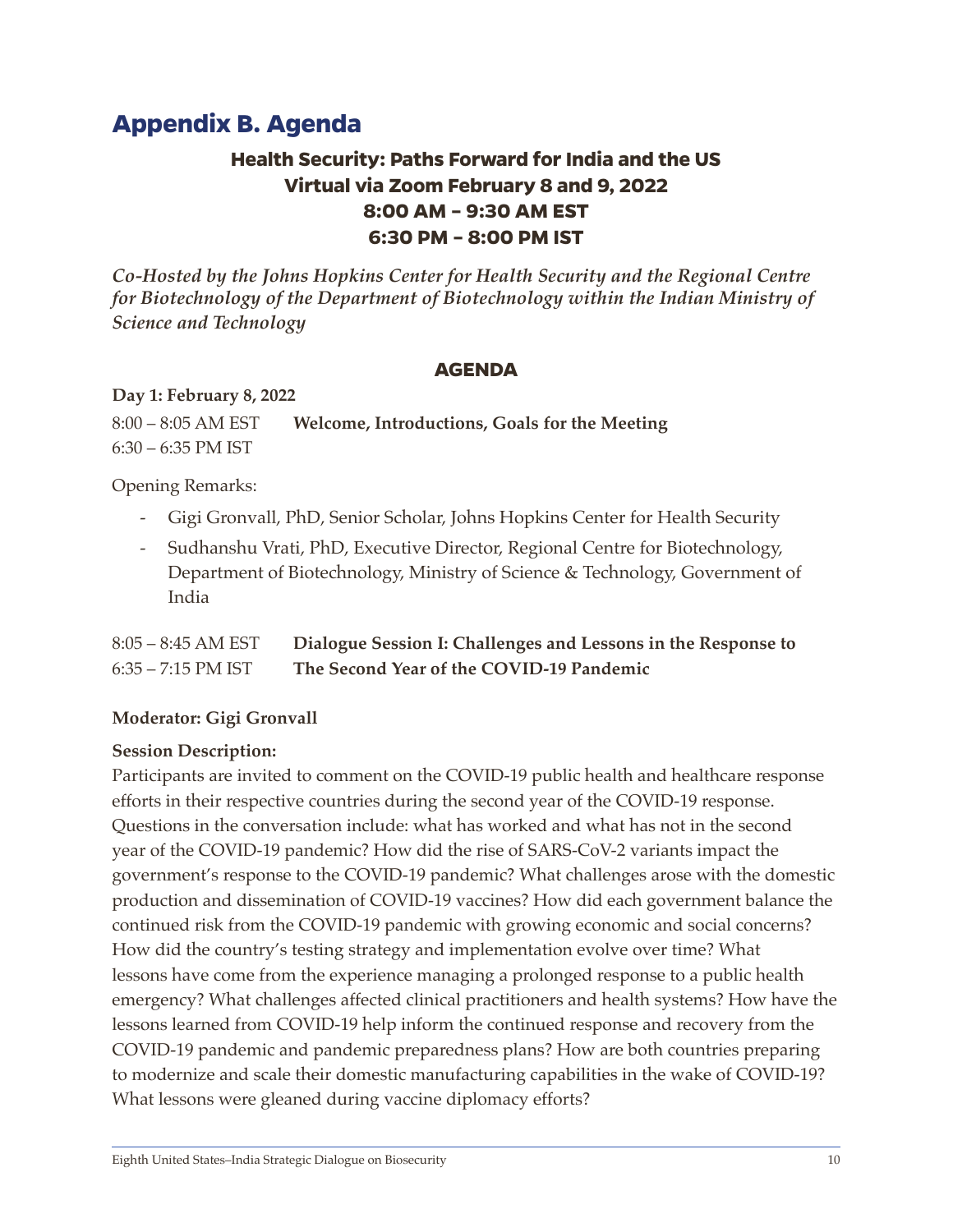# <span id="page-15-0"></span>**Appendix B. Agenda**

#### **Health Security: Paths Forward for India and the US Virtual via Zoom February 8 and 9, 2022 8:00 AM – 9:30 AM EST 6:30 PM – 8:00 PM IST**

*Co-Hosted by the Johns Hopkins Center for Health Security and the Regional Centre for Biotechnology of the Department of Biotechnology within the Indian Ministry of Science and Technology* 

#### **AGENDA**

#### **Day 1: February 8, 2022**

8:00 – 8:05 AM EST **Welcome, Introductions, Goals for the Meeting** 6:30 – 6:35 PM IST

Opening Remarks:

- Gigi Gronvall, PhD, Senior Scholar, Johns Hopkins Center for Health Security
- Sudhanshu Vrati, PhD, Executive Director, Regional Centre for Biotechnology, Department of Biotechnology, Ministry of Science & Technology, Government of India

| $8:05 - 8:45$ AM EST | Dialogue Session I: Challenges and Lessons in the Response to |
|----------------------|---------------------------------------------------------------|
| $6:35 - 7:15$ PM IST | The Second Year of the COVID-19 Pandemic                      |

#### **Moderator: Gigi Gronvall**

#### **Session Description:**

Participants are invited to comment on the COVID-19 public health and healthcare response efforts in their respective countries during the second year of the COVID-19 response. Questions in the conversation include: what has worked and what has not in the second year of the COVID-19 pandemic? How did the rise of SARS-CoV-2 variants impact the government's response to the COVID-19 pandemic? What challenges arose with the domestic production and dissemination of COVID-19 vaccines? How did each government balance the continued risk from the COVID-19 pandemic with growing economic and social concerns? How did the country's testing strategy and implementation evolve over time? What lessons have come from the experience managing a prolonged response to a public health emergency? What challenges affected clinical practitioners and health systems? How have the lessons learned from COVID-19 help inform the continued response and recovery from the COVID-19 pandemic and pandemic preparedness plans? How are both countries preparing to modernize and scale their domestic manufacturing capabilities in the wake of COVID-19? What lessons were gleaned during vaccine diplomacy efforts?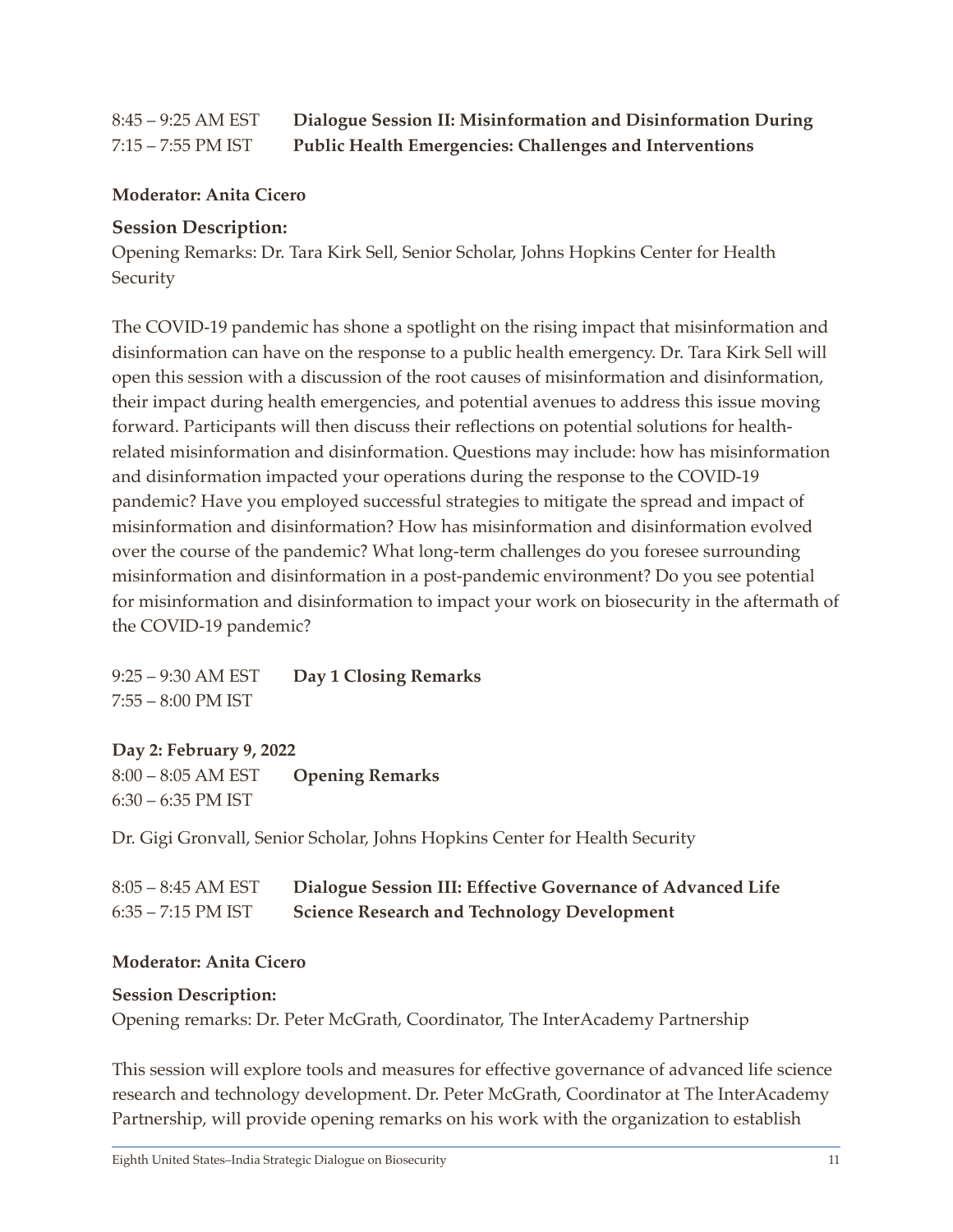#### 8:45 – 9:25 AM EST **Dialogue Session II: Misinformation and Disinformation During**  7:15 – 7:55 PM IST **Public Health Emergencies: Challenges and Interventions**

#### **Moderator: Anita Cicero**

#### **Session Description:**

Opening Remarks: Dr. Tara Kirk Sell, Senior Scholar, Johns Hopkins Center for Health **Security** 

The COVID-19 pandemic has shone a spotlight on the rising impact that misinformation and disinformation can have on the response to a public health emergency. Dr. Tara Kirk Sell will open this session with a discussion of the root causes of misinformation and disinformation, their impact during health emergencies, and potential avenues to address this issue moving forward. Participants will then discuss their reflections on potential solutions for healthrelated misinformation and disinformation. Questions may include: how has misinformation and disinformation impacted your operations during the response to the COVID-19 pandemic? Have you employed successful strategies to mitigate the spread and impact of misinformation and disinformation? How has misinformation and disinformation evolved over the course of the pandemic? What long-term challenges do you foresee surrounding misinformation and disinformation in a post-pandemic environment? Do you see potential for misinformation and disinformation to impact your work on biosecurity in the aftermath of the COVID-19 pandemic?

9:25 – 9:30 AM EST **Day 1 Closing Remarks**  7:55 – 8:00 PM IST

#### **Day 2: February 9, 2022**

8:00 – 8:05 AM EST **Opening Remarks**  6:30 – 6:35 PM IST

Dr. Gigi Gronvall, Senior Scholar, Johns Hopkins Center for Health Security

| $8:05 - 8:45$ AM EST | Dialogue Session III: Effective Governance of Advanced Life |
|----------------------|-------------------------------------------------------------|
| $6:35 - 7:15$ PM IST | <b>Science Research and Technology Development</b>          |

#### **Moderator: Anita Cicero**

#### **Session Description:**

Opening remarks: Dr. Peter McGrath, Coordinator, The InterAcademy Partnership

This session will explore tools and measures for effective governance of advanced life science research and technology development. Dr. Peter McGrath, Coordinator at The InterAcademy Partnership, will provide opening remarks on his work with the organization to establish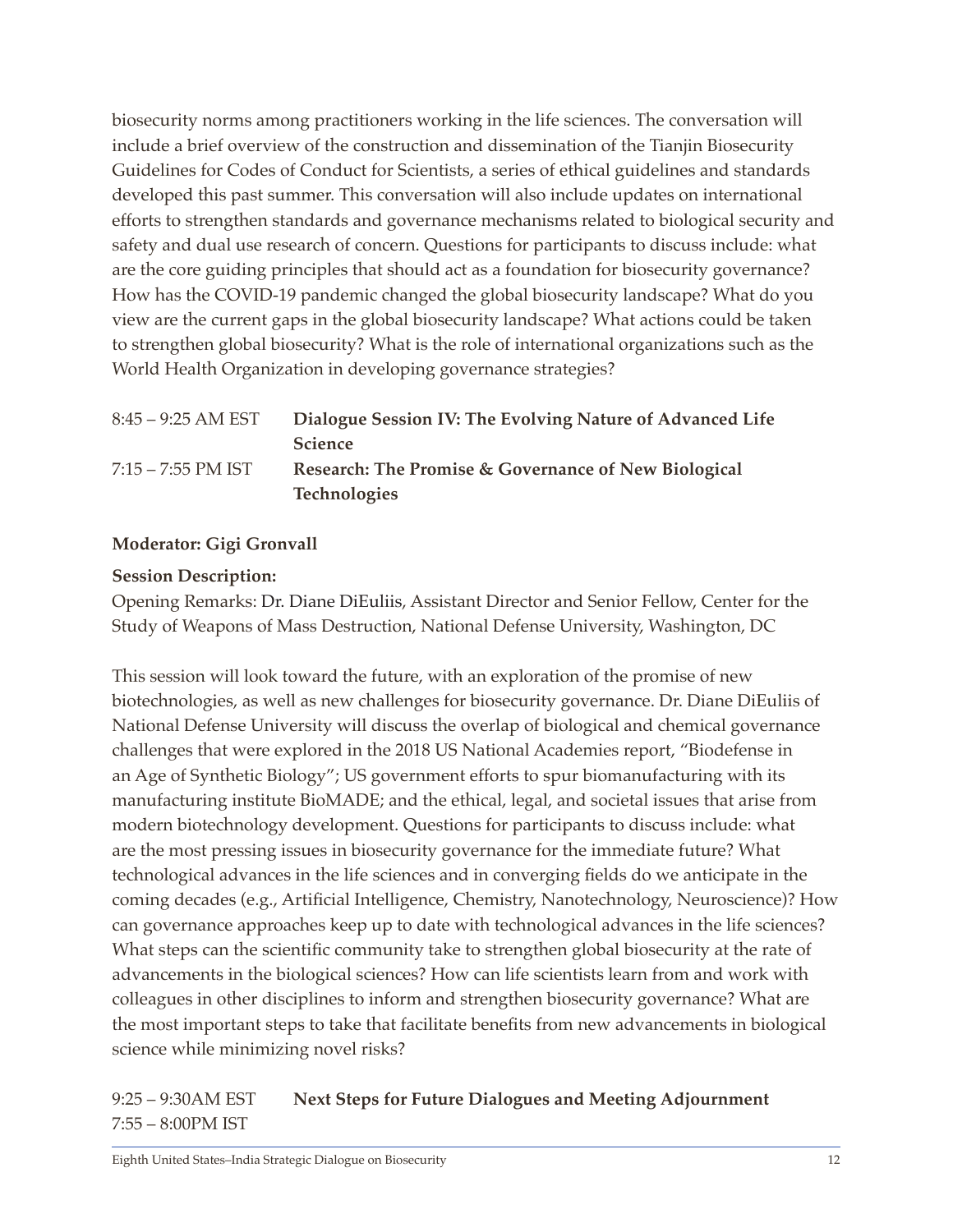biosecurity norms among practitioners working in the life sciences. The conversation will include a brief overview of the construction and dissemination of the Tianjin Biosecurity Guidelines for Codes of Conduct for Scientists, a series of ethical guidelines and standards developed this past summer. This conversation will also include updates on international efforts to strengthen standards and governance mechanisms related to biological security and safety and dual use research of concern. Questions for participants to discuss include: what are the core guiding principles that should act as a foundation for biosecurity governance? How has the COVID-19 pandemic changed the global biosecurity landscape? What do you view are the current gaps in the global biosecurity landscape? What actions could be taken to strengthen global biosecurity? What is the role of international organizations such as the World Health Organization in developing governance strategies?

| $8:45 - 9:25$ AM EST | Dialogue Session IV: The Evolving Nature of Advanced Life |
|----------------------|-----------------------------------------------------------|
|                      | <b>Science</b>                                            |
| 7:15 – 7:55 PM IST   | Research: The Promise & Governance of New Biological      |
|                      | <b>Technologies</b>                                       |

#### **Moderator: Gigi Gronvall**

#### **Session Description:**

Opening Remarks: Dr. Diane DiEuliis, Assistant Director and Senior Fellow, Center for the Study of Weapons of Mass Destruction, National Defense University, Washington, DC

This session will look toward the future, with an exploration of the promise of new biotechnologies, as well as new challenges for biosecurity governance. Dr. Diane DiEuliis of National Defense University will discuss the overlap of biological and chemical governance challenges that were explored in the 2018 US National Academies report, "Biodefense in an Age of Synthetic Biology"; US government efforts to spur biomanufacturing with its manufacturing institute BioMADE; and the ethical, legal, and societal issues that arise from modern biotechnology development. Questions for participants to discuss include: what are the most pressing issues in biosecurity governance for the immediate future? What technological advances in the life sciences and in converging fields do we anticipate in the coming decades (e.g., Artificial Intelligence, Chemistry, Nanotechnology, Neuroscience)? How can governance approaches keep up to date with technological advances in the life sciences? What steps can the scientific community take to strengthen global biosecurity at the rate of advancements in the biological sciences? How can life scientists learn from and work with colleagues in other disciplines to inform and strengthen biosecurity governance? What are the most important steps to take that facilitate benefits from new advancements in biological science while minimizing novel risks?

#### 9:25 – 9:30AM EST **Next Steps for Future Dialogues and Meeting Adjournment** 7:55 – 8:00PM IST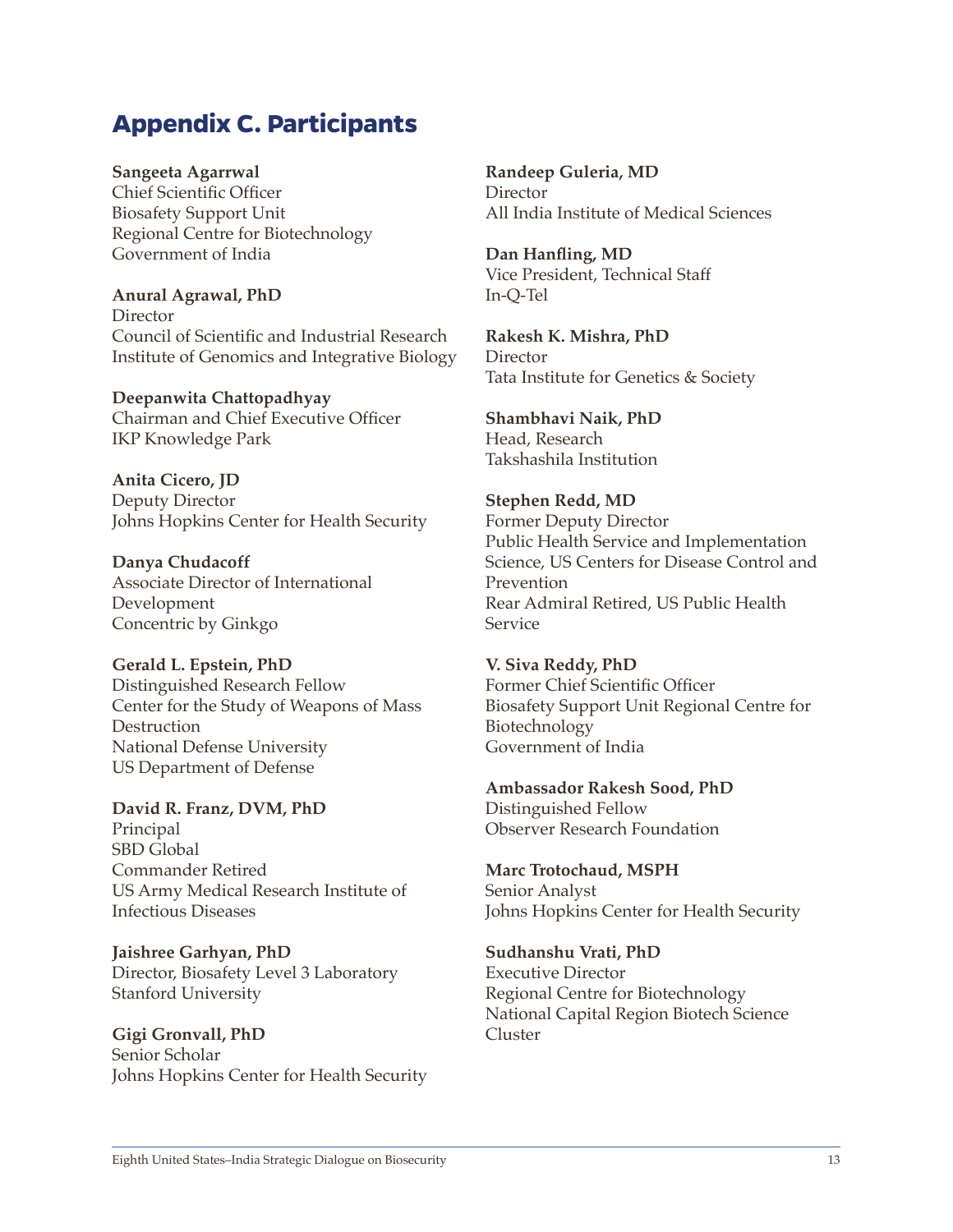# <span id="page-18-0"></span>**Appendix C. Participants**

**Sangeeta Agarrwal** 

Chief Scientific Officer Biosafety Support Unit Regional Centre for Biotechnology Government of India

**Anural Agrawal, PhD**  Director Council of Scientific and Industrial Research Institute of Genomics and Integrative Biology

**Deepanwita Chattopadhyay**  Chairman and Chief Executive Officer IKP Knowledge Park

**Anita Cicero, JD**  Deputy Director Johns Hopkins Center for Health Security

**Danya Chudacoff**  Associate Director of International Development Concentric by Ginkgo

**Gerald L. Epstein, PhD**  Distinguished Research Fellow Center for the Study of Weapons of Mass **Destruction** National Defense University US Department of Defense

**David R. Franz, DVM, PhD** Principal SBD Global Commander Retired US Army Medical Research Institute of Infectious Diseases

**Jaishree Garhyan, PhD**  Director, Biosafety Level 3 Laboratory Stanford University

**Gigi Gronvall, PhD**  Senior Scholar Johns Hopkins Center for Health Security **Randeep Guleria, MD Director** All India Institute of Medical Sciences

**Dan Hanfling, MD**  Vice President, Technical Staff In-Q-Tel

**Rakesh K. Mishra, PhD**  Director Tata Institute for Genetics & Society

**Shambhavi Naik, PhD**  Head, Research Takshashila Institution

**Stephen Redd, MD** Former Deputy Director Public Health Service and Implementation Science, US Centers for Disease Control and Prevention Rear Admiral Retired, US Public Health Service

**V. Siva Reddy, PhD** Former Chief Scientific Officer Biosafety Support Unit Regional Centre for Biotechnology Government of India

**Ambassador Rakesh Sood, PhD** Distinguished Fellow Observer Research Foundation

**Marc Trotochaud, MSPH** Senior Analyst Johns Hopkins Center for Health Security

**Sudhanshu Vrati, PhD** Executive Director Regional Centre for Biotechnology National Capital Region Biotech Science Cluster